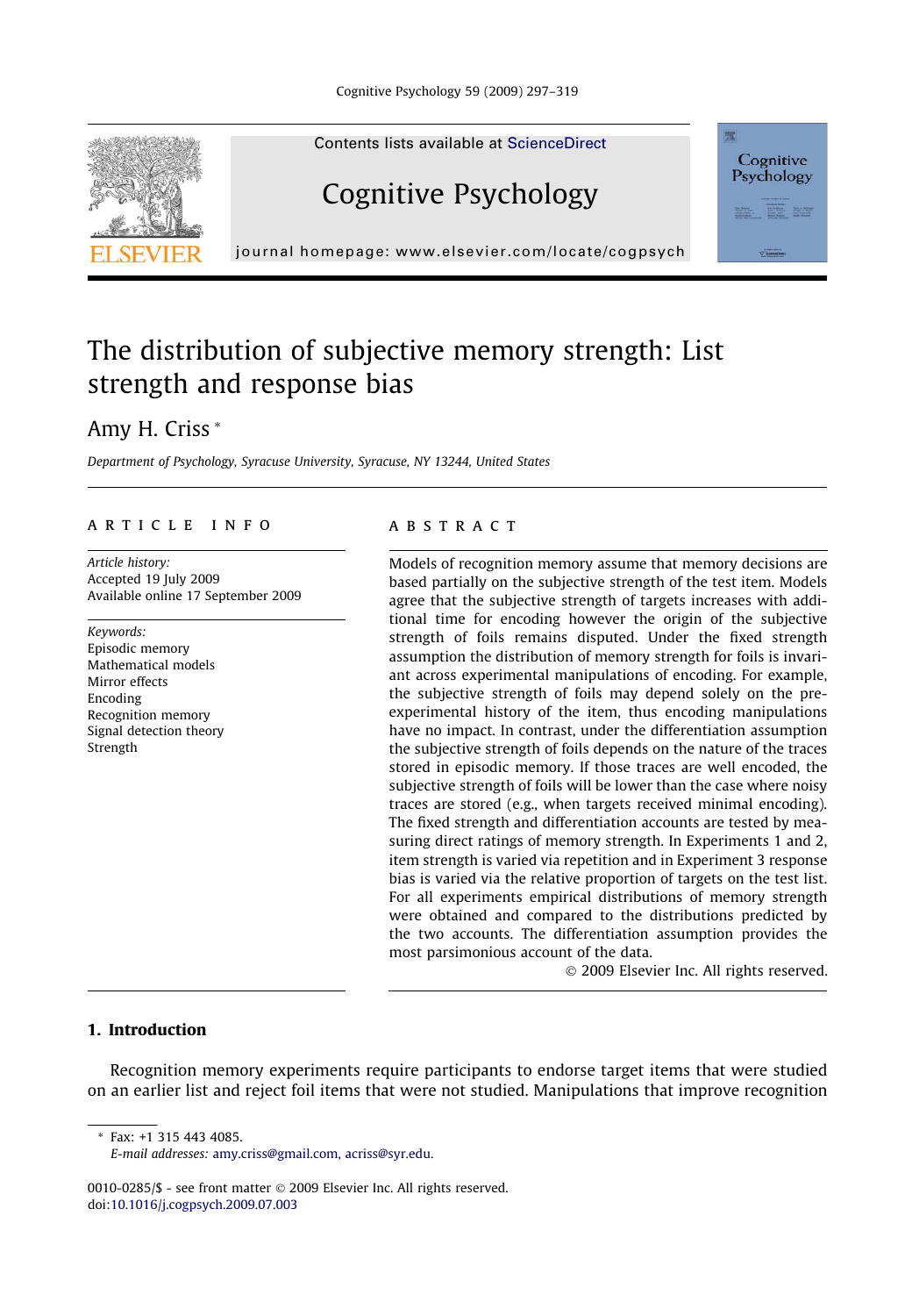

Contents lists available at [ScienceDirect](http://www.sciencedirect.com/science/journal/00100285)

## Cognitive Psychology



journal homepage: [www.elsevier.com/locate/cogpsych](http://www.elsevier.com/locate/cogpsych)

### The distribution of subjective memory strength: List strength and response bias

### Amy H. Criss \*

Department of Psychology, Syracuse University, Syracuse, NY 13244, United States

#### article info

Article history: Accepted 19 July 2009 Available online 17 September 2009

Keywords: Episodic memory Mathematical models Mirror effects Encoding Recognition memory Signal detection theory Strength

#### ABSTRACT

Models of recognition memory assume that memory decisions are based partially on the subjective strength of the test item. Models agree that the subjective strength of targets increases with additional time for encoding however the origin of the subjective strength of foils remains disputed. Under the fixed strength assumption the distribution of memory strength for foils is invariant across experimental manipulations of encoding. For example, the subjective strength of foils may depend solely on the preexperimental history of the item, thus encoding manipulations have no impact. In contrast, under the differentiation assumption the subjective strength of foils depends on the nature of the traces stored in episodic memory. If those traces are well encoded, the subjective strength of foils will be lower than the case where noisy traces are stored (e.g., when targets received minimal encoding). The fixed strength and differentiation accounts are tested by measuring direct ratings of memory strength. In Experiments 1 and 2, item strength is varied via repetition and in Experiment 3 response bias is varied via the relative proportion of targets on the test list. For all experiments empirical distributions of memory strength were obtained and compared to the distributions predicted by the two accounts. The differentiation assumption provides the most parsimonious account of the data.

© 2009 Elsevier Inc. All rights reserved.

#### 1. Introduction

Recognition memory experiments require participants to endorse target items that were studied on an earlier list and reject foil items that were not studied. Manipulations that improve recognition

\* Fax: +1 315 443 4085.

0010-0285/\$ - see front matter @ 2009 Elsevier Inc. All rights reserved. doi[:10.1016/j.cogpsych.2009.07.003](http://dx.doi.org/10.1016/j.cogpsych.2009.07.003)

E-mail addresses: [amy.criss@gmail.com,](mailto:amy.criss@gmail.com) [acriss@syr.edu.](mailto:acriss@syr.edu)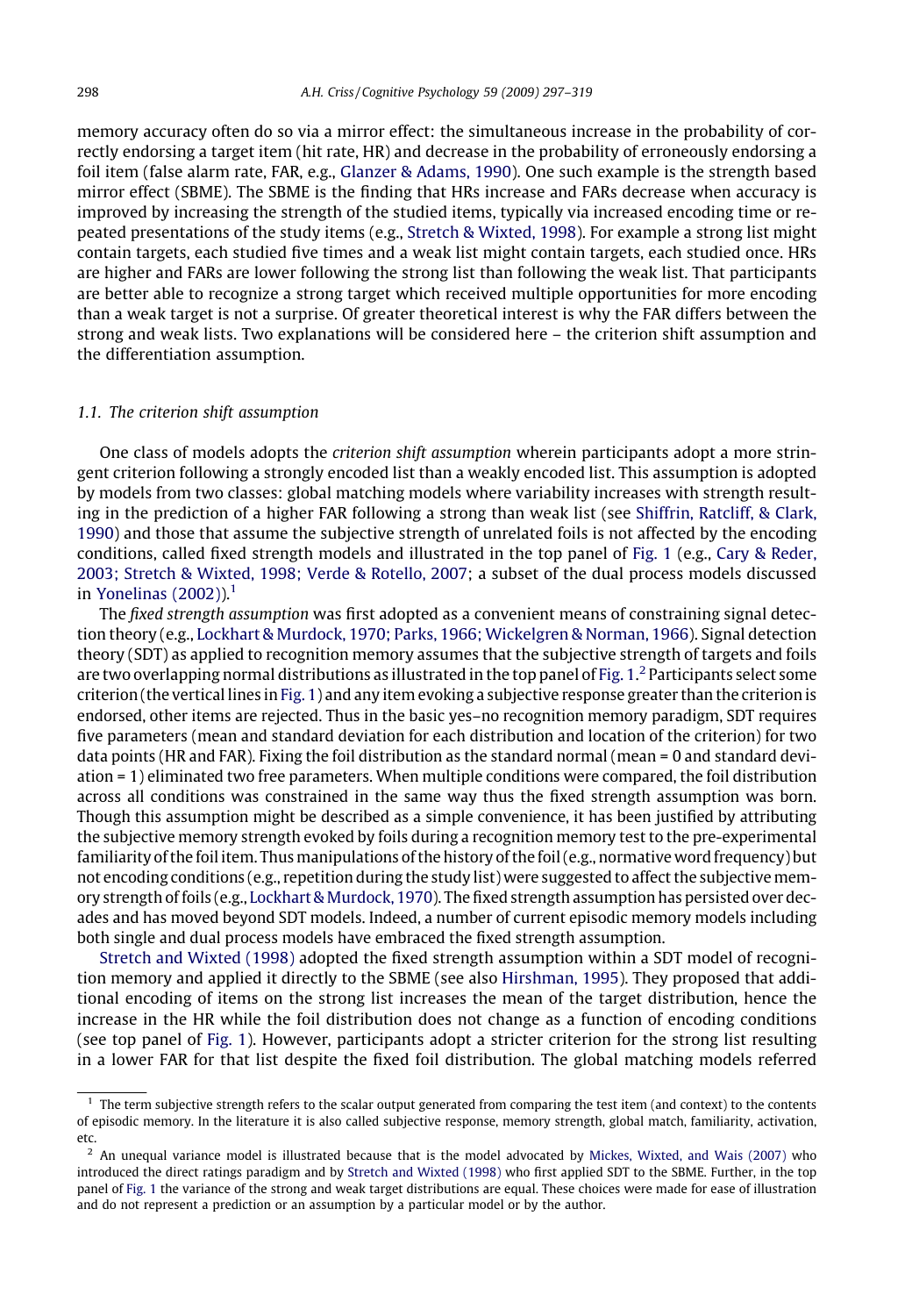memory accuracy often do so via a mirror effect: the simultaneous increase in the probability of correctly endorsing a target item (hit rate, HR) and decrease in the probability of erroneously endorsing a foil item (false alarm rate, FAR, e.g., [Glanzer & Adams, 1990](#page--1-0)). One such example is the strength based mirror effect (SBME). The SBME is the finding that HRs increase and FARs decrease when accuracy is improved by increasing the strength of the studied items, typically via increased encoding time or repeated presentations of the study items (e.g., [Stretch & Wixted, 1998](#page--1-0)). For example a strong list might contain targets, each studied five times and a weak list might contain targets, each studied once. HRs are higher and FARs are lower following the strong list than following the weak list. That participants are better able to recognize a strong target which received multiple opportunities for more encoding than a weak target is not a surprise. Of greater theoretical interest is why the FAR differs between the strong and weak lists. Two explanations will be considered here – the criterion shift assumption and the differentiation assumption.

#### 1.1. The criterion shift assumption

One class of models adopts the criterion shift assumption wherein participants adopt a more stringent criterion following a strongly encoded list than a weakly encoded list. This assumption is adopted by models from two classes: global matching models where variability increases with strength resulting in the prediction of a higher FAR following a strong than weak list (see [Shiffrin, Ratcliff, & Clark,](#page--1-0) [1990\)](#page--1-0) and those that assume the subjective strength of unrelated foils is not affected by the encoding conditions, called fixed strength models and illustrated in the top panel of [Fig. 1](#page--1-0) (e.g., [Cary & Reder,](#page--1-0) [2003; Stretch & Wixted, 1998; Verde & Rotello, 2007;](#page--1-0) a subset of the dual process models discussed in Yonelinas  $(2002)$ ).<sup>1</sup>

The fixed strength assumption was first adopted as a convenient means of constraining signal detection theory (e.g., [Lockhart & Murdock, 1970; Parks, 1966; Wickelgren & Norman, 1966](#page--1-0)). Signal detection theory (SDT) as applied to recognition memory assumes that the subjective strength of targets and foils are two overlapping normal distributions as illustrated in the top panel of [Fig. 1.](#page--1-0) $^2$  Participants select some criterion (the vertical lines in [Fig. 1\)](#page--1-0) and any item evoking a subjective response greater than the criterion is endorsed, other items are rejected. Thus in the basic yes–no recognition memory paradigm, SDT requires five parameters (mean and standard deviation for each distribution and location of the criterion) for two data points (HR and FAR). Fixing the foil distribution as the standard normal (mean = 0 and standard deviation = 1) eliminated two free parameters. When multiple conditions were compared, the foil distribution across all conditions was constrained in the same way thus the fixed strength assumption was born. Though this assumption might be described as a simple convenience, it has been justified by attributing the subjective memory strength evoked by foils during a recognition memory test to the pre-experimental familiarity of the foil item. Thus manipulations of the history of the foil (e.g., normative word frequency) but not encoding conditions (e.g., repetition during the study list) were suggested to affect the subjective memory strength of foils (e.g., [Lockhart & Murdock, 1970\)](#page--1-0). The fixed strength assumption has persisted over decades and has moved beyond SDT models. Indeed, a number of current episodic memory models including both single and dual process models have embraced the fixed strength assumption.

[Stretch and Wixted \(1998\)](#page--1-0) adopted the fixed strength assumption within a SDT model of recognition memory and applied it directly to the SBME (see also [Hirshman, 1995](#page--1-0)). They proposed that additional encoding of items on the strong list increases the mean of the target distribution, hence the increase in the HR while the foil distribution does not change as a function of encoding conditions (see top panel of [Fig. 1\)](#page--1-0). However, participants adopt a stricter criterion for the strong list resulting in a lower FAR for that list despite the fixed foil distribution. The global matching models referred

 $1$  The term subjective strength refers to the scalar output generated from comparing the test item (and context) to the contents of episodic memory. In the literature it is also called subjective response, memory strength, global match, familiarity, activation, etc.

 $<sup>2</sup>$  An unequal variance model is illustrated because that is the model advocated by [Mickes, Wixted, and Wais \(2007\)](#page--1-0) who</sup> introduced the direct ratings paradigm and by [Stretch and Wixted \(1998\)](#page--1-0) who first applied SDT to the SBME. Further, in the top panel of [Fig. 1](#page--1-0) the variance of the strong and weak target distributions are equal. These choices were made for ease of illustration and do not represent a prediction or an assumption by a particular model or by the author.